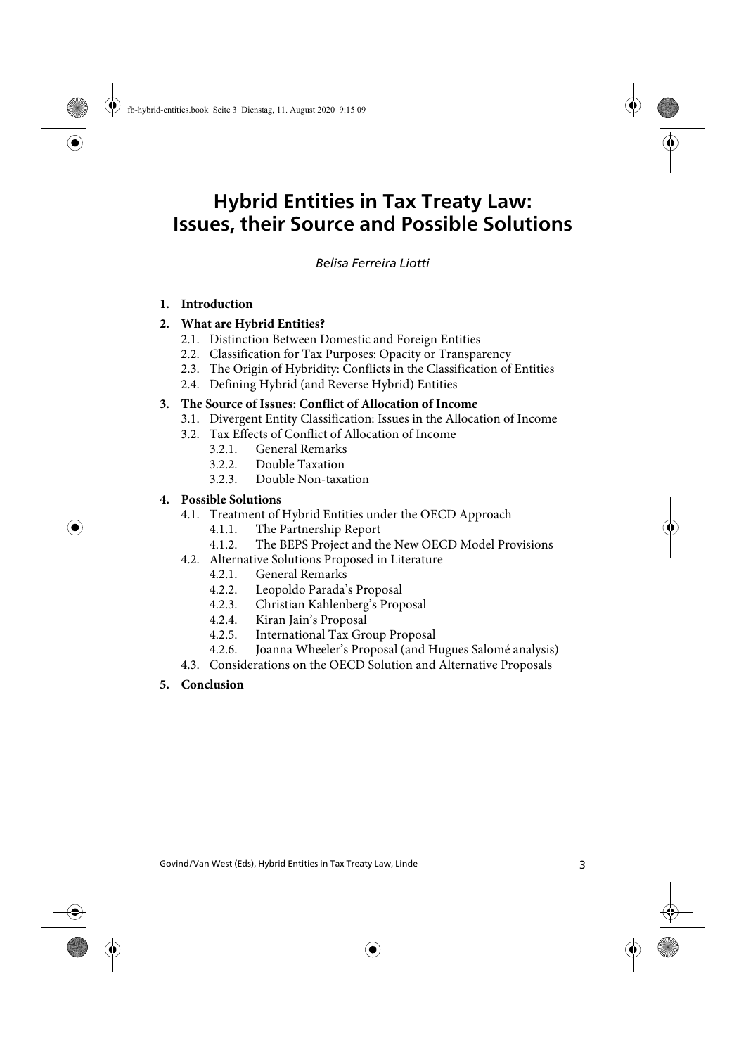# **Hybrid Entities in Tax Treaty Law: Issues, their Source and Possible Solutions**

#### Hybrid Entities in Tax Treaty Law: Issues, their Source and Possible Solutions Ferreira Liotti *Belisa Ferreira Liotti*

#### **1. Introduction**

#### **2. What are Hybrid Entities?**

- 2.1. Distinction Between Domestic and Foreign Entities
- 2.2. Classification for Tax Purposes: Opacity or Transparency
- 2.3. The Origin of Hybridity: Conflicts in the Classification of Entities
- 2.4. Defining Hybrid (and Reverse Hybrid) Entities

#### **3. The Source of Issues: Conflict of Allocation of Income**

- 3.1. Divergent Entity Classification: Issues in the Allocation of Income
- 3.2. Tax Effects of Conflict of Allocation of Income
	- 3.2.1. General Remarks
	- 3.2.2. Double Taxation
	- 3.2.3. Double Non-taxation

#### **4. Possible Solutions**

- 4.1. Treatment of Hybrid Entities under the OECD Approach
	- 4.1.1. The Partnership Report
	- 4.1.2. The BEPS Project and the New OECD Model Provisions
- 4.2. Alternative Solutions Proposed in Literature
	- 4.2.1. General Remarks
	- 4.2.2. Leopoldo Parada's Proposal
	- 4.2.3. Christian Kahlenberg's Proposal
	- 4.2.4. Kiran Jain's Proposal
	- 4.2.5. International Tax Group Proposal
	- 4.2.6. Joanna Wheeler's Proposal (and Hugues Salomé analysis)
- 4.3. Considerations on the OECD Solution and Alternative Proposals

#### **5. Conclusion**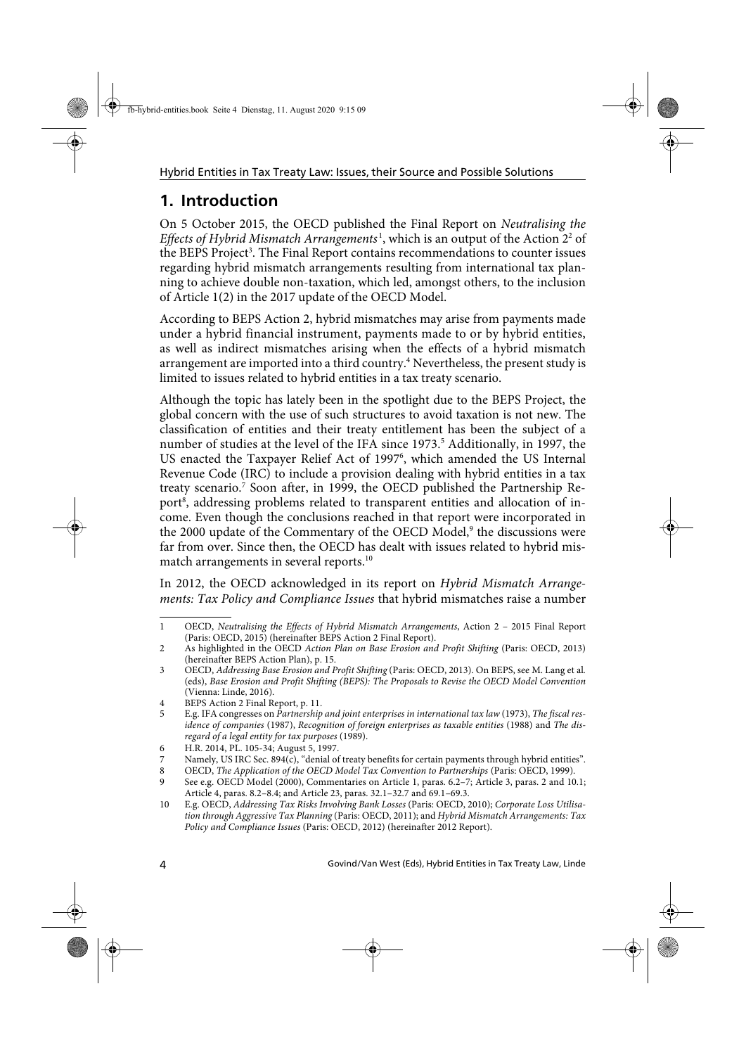# **1. Introduction**

On 5 October 2015, the OECD published the Final Report on Neutralising the Effects of Hybrid Mismatch Arrangements<sup>1</sup>, which is an output of the Action 2<sup>2</sup> of the BEPS Project<sup>3</sup>. The Final Report contains recommendations to counter issues regarding hybrid mismatch arrangements resulting from international tax planning to achieve double non-taxation, which led, amongst others, to the inclusion of Article 1(2) in the 2017 update of the OECD Model.

According to BEPS Action 2, hybrid mismatches may arise from payments made under a hybrid financial instrument, payments made to or by hybrid entities, as well as indirect mismatches arising when the effects of a hybrid mismatch arrangement are imported into a third country.<sup>4</sup> Nevertheless, the present study is limited to issues related to hybrid entities in a tax treaty scenario.

Although the topic has lately been in the spotlight due to the BEPS Project, the global concern with the use of such structures to avoid taxation is not new. The classification of entities and their treaty entitlement has been the subject of a number of studies at the level of the IFA since 1973.<sup>5</sup> Additionally, in 1997, the US enacted the Taxpayer Relief Act of 1997<sup>6</sup>, which amended the US Internal Revenue Code (IRC) to include a provision dealing with hybrid entities in a tax treaty scenario.<sup>7</sup> Soon after, in 1999, the OECD published the Partnership Report<sup>8</sup>, addressing problems related to transparent entities and allocation of income. Even though the conclusions reached in that report were incorporated in the 2000 update of the Commentary of the OECD Model,<sup>9</sup> the discussions were far from over. Since then, the OECD has dealt with issues related to hybrid mismatch arrangements in several reports.<sup>10</sup>

In 2012, the OECD acknowledged in its report on Hybrid Mismatch Arrangements: Tax Policy and Compliance Issues that hybrid mismatches raise a number

<sup>1</sup> OECD, Neutralising the Effects of Hybrid Mismatch Arrangements, Action 2 – 2015 Final Report (Paris: OECD, 2015) (hereinafter BEPS Action 2 Final Report).

<sup>2</sup> As highlighted in the OECD Action Plan on Base Erosion and Profit Shifting (Paris: OECD, 2013) (hereinafter BEPS Action Plan), p. 15.

<sup>3</sup> OECD, Addressing Base Erosion and Profit Shifting (Paris: OECD, 2013). On BEPS, see M. Lang et al. (eds), Base Erosion and Profit Shifting (BEPS): The Proposals to Revise the OECD Model Convention (Vienna: Linde, 2016).

<sup>4</sup> BEPS Action 2 Final Report, p. 11.<br>5 E.g. IFA congresses on *Partnership* 

<sup>5</sup> E.g. IFA congresses on Partnership and joint enterprises in international tax law (1973), The fiscal residence of companies (1987), Recognition of foreign enterprises as taxable entities (1988) and The disregard of a legal entity for tax purposes (1989).

<sup>6</sup> H.R. 2014, PL. 105-34; August 5, 1997.

<sup>7</sup> Namely, US IRC Sec. 894(c), "denial of treaty benefits for certain payments through hybrid entities".

<sup>8</sup> OECD, The Application of the OECD Model Tax Convention to Partnerships (Paris: OECD, 1999).

<sup>9</sup> See e.g. OECD Model (2000), Commentaries on Article 1, paras. 6.2–7; Article 3, paras. 2 and 10.1; Article 4, paras. 8.2–8.4; and Article 23, paras. 32.1–32.7 and 69.1–69.3.

<sup>10</sup> E.g. OECD, Addressing Tax Risks Involving Bank Losses (Paris: OECD, 2010); Corporate Loss Utilisation through Aggressive Tax Planning (Paris: OECD, 2011); and Hybrid Mismatch Arrangements: Tax Policy and Compliance Issues (Paris: OECD, 2012) (hereinafter 2012 Report).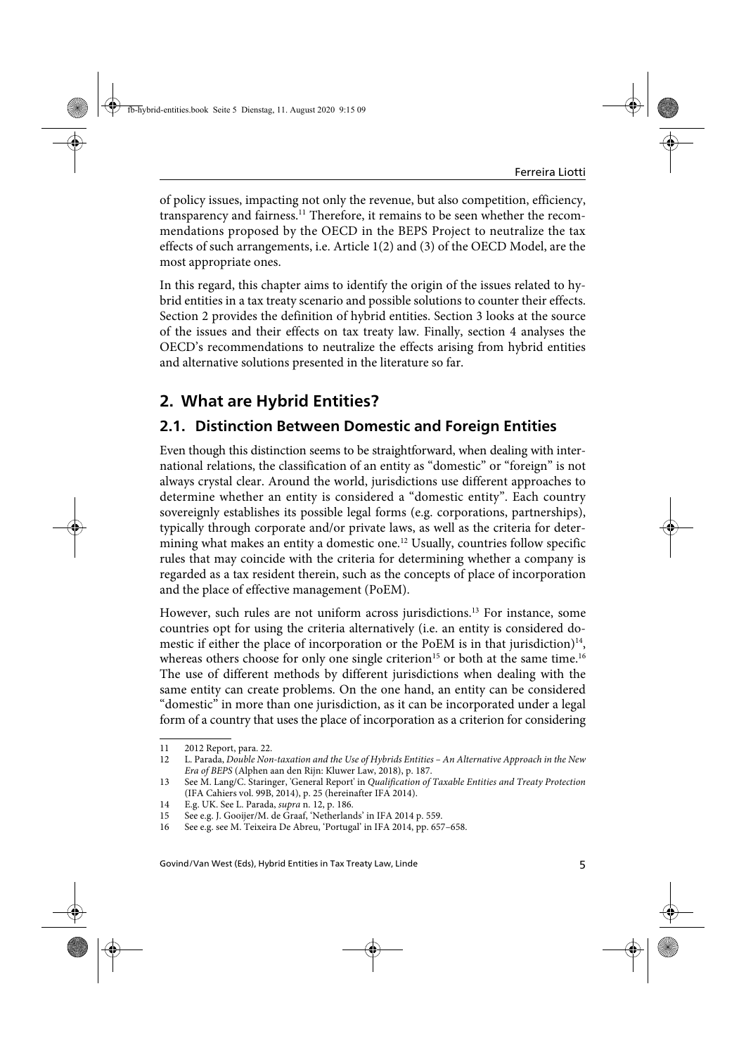of policy issues, impacting not only the revenue, but also competition, efficiency, transparency and fairness.<sup>11</sup> Therefore, it remains to be seen whether the recommendations proposed by the OECD in the BEPS Project to neutralize the tax effects of such arrangements, i.e. Article 1(2) and (3) of the OECD Model, are the most appropriate ones.

In this regard, this chapter aims to identify the origin of the issues related to hybrid entities in a tax treaty scenario and possible solutions to counter their effects. Section 2 provides the definition of hybrid entities. Section 3 looks at the source of the issues and their effects on tax treaty law. Finally, section 4 analyses the OECD's recommendations to neutralize the effects arising from hybrid entities and alternative solutions presented in the literature so far.

## **2. What are Hybrid Entities?**

## **2.1. Distinction Between Domestic and Foreign Entities**

Even though this distinction seems to be straightforward, when dealing with international relations, the classification of an entity as "domestic" or "foreign" is not always crystal clear. Around the world, jurisdictions use different approaches to determine whether an entity is considered a "domestic entity". Each country sovereignly establishes its possible legal forms (e.g. corporations, partnerships), typically through corporate and/or private laws, as well as the criteria for determining what makes an entity a domestic one.<sup>12</sup> Usually, countries follow specific rules that may coincide with the criteria for determining whether a company is regarded as a tax resident therein, such as the concepts of place of incorporation and the place of effective management (PoEM).

However, such rules are not uniform across jurisdictions.<sup>13</sup> For instance, some countries opt for using the criteria alternatively (i.e. an entity is considered domestic if either the place of incorporation or the PoEM is in that jurisdiction) $14$ , whereas others choose for only one single criterion<sup>15</sup> or both at the same time.<sup>16</sup> The use of different methods by different jurisdictions when dealing with the same entity can create problems. On the one hand, an entity can be considered "domestic" in more than one jurisdiction, as it can be incorporated under a legal form of a country that uses the place of incorporation as a criterion for considering

<sup>11 2012</sup> Report, para. 22.

<sup>12</sup> L. Parada, Double Non-taxation and the Use of Hybrids Entities – An Alternative Approach in the New Era of BEPS (Alphen aan den Rijn: Kluwer Law, 2018), p. 187.

<sup>13</sup> See M. Lang/C. Staringer, 'General Report' in Qualification of Taxable Entities and Treaty Protection (IFA Cahiers vol. 99B, 2014), p. 25 (hereinafter IFA 2014).

<sup>14</sup> E.g. UK. See L. Parada, supra n. 12, p. 186.

<sup>15</sup> See e.g. J. Gooijer/M. de Graaf, 'Netherlands' in IFA 2014 p. 559.

<sup>16</sup> See e.g. see M. Teixeira De Abreu, 'Portugal' in IFA 2014, pp. 657–658.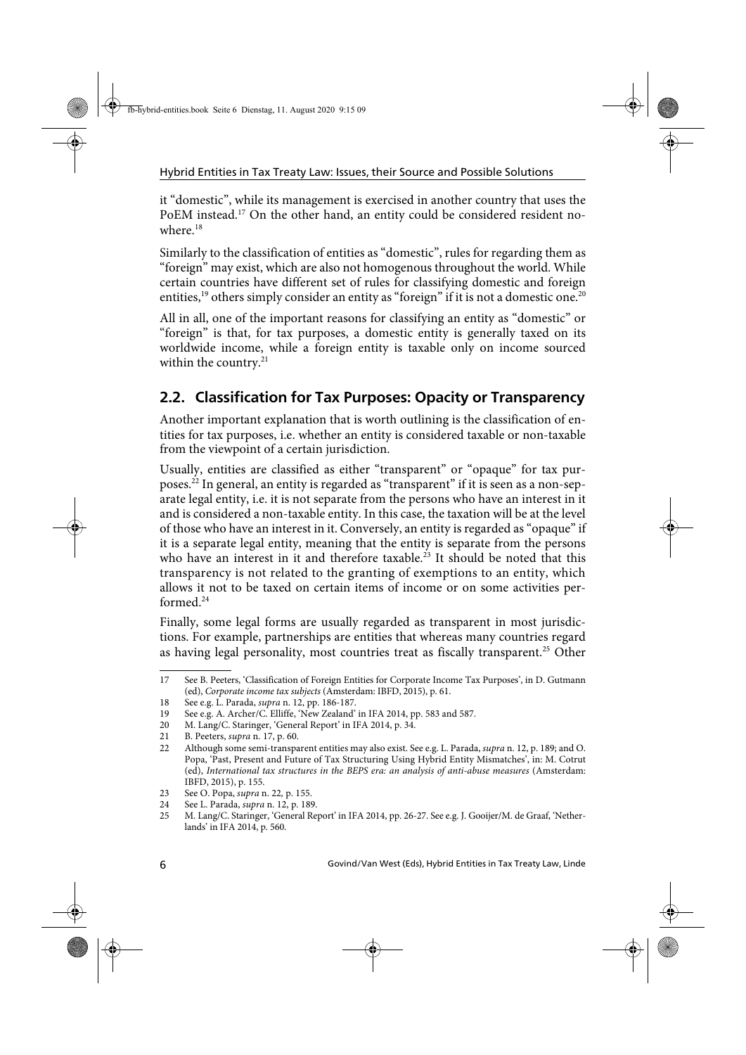it "domestic", while its management is exercised in another country that uses the PoEM instead.<sup>17</sup> On the other hand, an entity could be considered resident nowhere  $18$ 

Similarly to the classification of entities as "domestic", rules for regarding them as "foreign" may exist, which are also not homogenous throughout the world. While certain countries have different set of rules for classifying domestic and foreign entities,<sup>19</sup> others simply consider an entity as "foreign" if it is not a domestic one.<sup>20</sup>

All in all, one of the important reasons for classifying an entity as "domestic" or "foreign" is that, for tax purposes, a domestic entity is generally taxed on its worldwide income, while a foreign entity is taxable only on income sourced within the country. $21$ 

## **2.2. Classification for Tax Purposes: Opacity or Transparency**

Another important explanation that is worth outlining is the classification of entities for tax purposes, i.e. whether an entity is considered taxable or non-taxable from the viewpoint of a certain jurisdiction.

Usually, entities are classified as either "transparent" or "opaque" for tax purposes.<sup>22</sup> In general, an entity is regarded as "transparent" if it is seen as a non-separate legal entity, i.e. it is not separate from the persons who have an interest in it and is considered a non-taxable entity. In this case, the taxation will be at the level of those who have an interest in it. Conversely, an entity is regarded as "opaque" if it is a separate legal entity, meaning that the entity is separate from the persons who have an interest in it and therefore taxable.<sup>23</sup> It should be noted that this transparency is not related to the granting of exemptions to an entity, which allows it not to be taxed on certain items of income or on some activities performed.24

Finally, some legal forms are usually regarded as transparent in most jurisdictions. For example, partnerships are entities that whereas many countries regard as having legal personality, most countries treat as fiscally transparent.<sup>25</sup> Other

<sup>17</sup> See B. Peeters, 'Classification of Foreign Entities for Corporate Income Tax Purposes', in D. Gutmann (ed), Corporate income tax subjects (Amsterdam: IBFD, 2015), p. 61.

<sup>18</sup> See e.g. L. Parada, supra n. 12, pp. 186-187.

<sup>19</sup> See e.g. A. Archer/C. Elliffe, 'New Zealand' in IFA 2014, pp. 583 and 587.

<sup>20</sup> M. Lang/C. Staringer, 'General Report' in IFA 2014, p. 34.

<sup>21</sup> B. Peeters, supra n. 17, p. 60.

<sup>22</sup> Although some semi-transparent entities may also exist. See e.g. L. Parada, supra n. 12, p. 189; and O. Popa, 'Past, Present and Future of Tax Structuring Using Hybrid Entity Mismatches', in: M. Cotrut (ed), International tax structures in the BEPS era: an analysis of anti-abuse measures (Amsterdam: IBFD, 2015), p. 155.

<sup>23</sup> See O. Popa, supra n. 22, p. 155.

<sup>24</sup> See L. Parada, supra n. 12, p. 189.

<sup>25</sup> M. Lang/C. Staringer, 'General Report' in IFA 2014, pp. 26-27. See e.g. J. Gooijer/M. de Graaf, 'Netherlands' in IFA 2014, p. 560.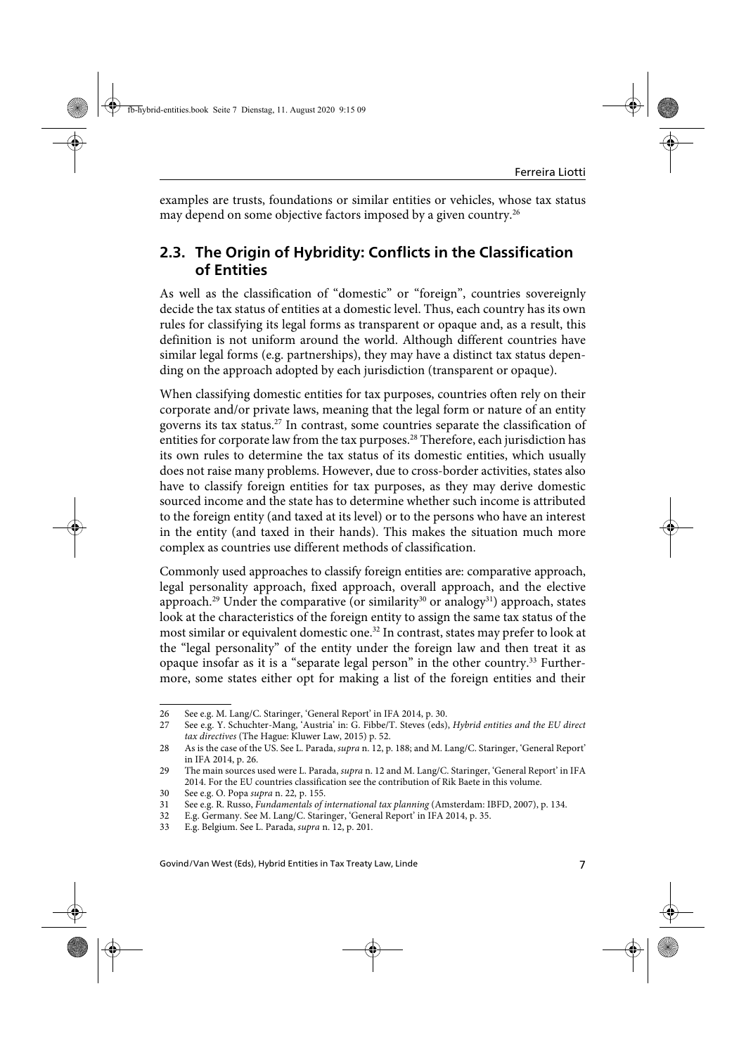examples are trusts, foundations or similar entities or vehicles, whose tax status may depend on some objective factors imposed by a given country.<sup>26</sup>

### **2.3. The Origin of Hybridity: Conflicts in the Classification of Entities**

As well as the classification of "domestic" or "foreign", countries sovereignly decide the tax status of entities at a domestic level. Thus, each country has its own rules for classifying its legal forms as transparent or opaque and, as a result, this definition is not uniform around the world. Although different countries have similar legal forms (e.g. partnerships), they may have a distinct tax status depending on the approach adopted by each jurisdiction (transparent or opaque).

When classifying domestic entities for tax purposes, countries often rely on their corporate and/or private laws, meaning that the legal form or nature of an entity governs its tax status.27 In contrast, some countries separate the classification of entities for corporate law from the tax purposes.<sup>28</sup> Therefore, each jurisdiction has its own rules to determine the tax status of its domestic entities, which usually does not raise many problems. However, due to cross-border activities, states also have to classify foreign entities for tax purposes, as they may derive domestic sourced income and the state has to determine whether such income is attributed to the foreign entity (and taxed at its level) or to the persons who have an interest in the entity (and taxed in their hands). This makes the situation much more complex as countries use different methods of classification.

Commonly used approaches to classify foreign entities are: comparative approach, legal personality approach, fixed approach, overall approach, and the elective approach.<sup>29</sup> Under the comparative (or similarity<sup>30</sup> or analogy<sup>31</sup>) approach, states look at the characteristics of the foreign entity to assign the same tax status of the most similar or equivalent domestic one.<sup>32</sup> In contrast, states may prefer to look at the "legal personality" of the entity under the foreign law and then treat it as opaque insofar as it is a "separate legal person" in the other country.33 Furthermore, some states either opt for making a list of the foreign entities and their

<sup>26</sup> See e.g. M. Lang/C. Staringer, 'General Report' in IFA 2014, p. 30.

<sup>27</sup> See e.g. Y. Schuchter-Mang, 'Austria' in: G. Fibbe/T. Steves (eds), Hybrid entities and the EU direct tax directives (The Hague: Kluwer Law, 2015) p. 52.

<sup>28</sup> As is the case of the US. See L. Parada, *supra* n. 12, p. 188; and M. Lang/C. Staringer, 'General Report' in IFA 2014, p. 26.

<sup>29</sup> The main sources used were L. Parada, supra n. 12 and M. Lang/C. Staringer, 'General Report' in IFA 2014. For the EU countries classification see the contribution of Rik Baete in this volume.

<sup>30</sup> See e.g. O. Popa supra n. 22, p. 155.

<sup>31</sup> See e.g. R. Russo, Fundamentals of international tax planning (Amsterdam: IBFD, 2007), p. 134.

<sup>32</sup> E.g. Germany. See M. Lang/C. Staringer, 'General Report' in IFA 2014, p. 35.

<sup>33</sup> E.g. Belgium. See L. Parada, supra n. 12, p. 201.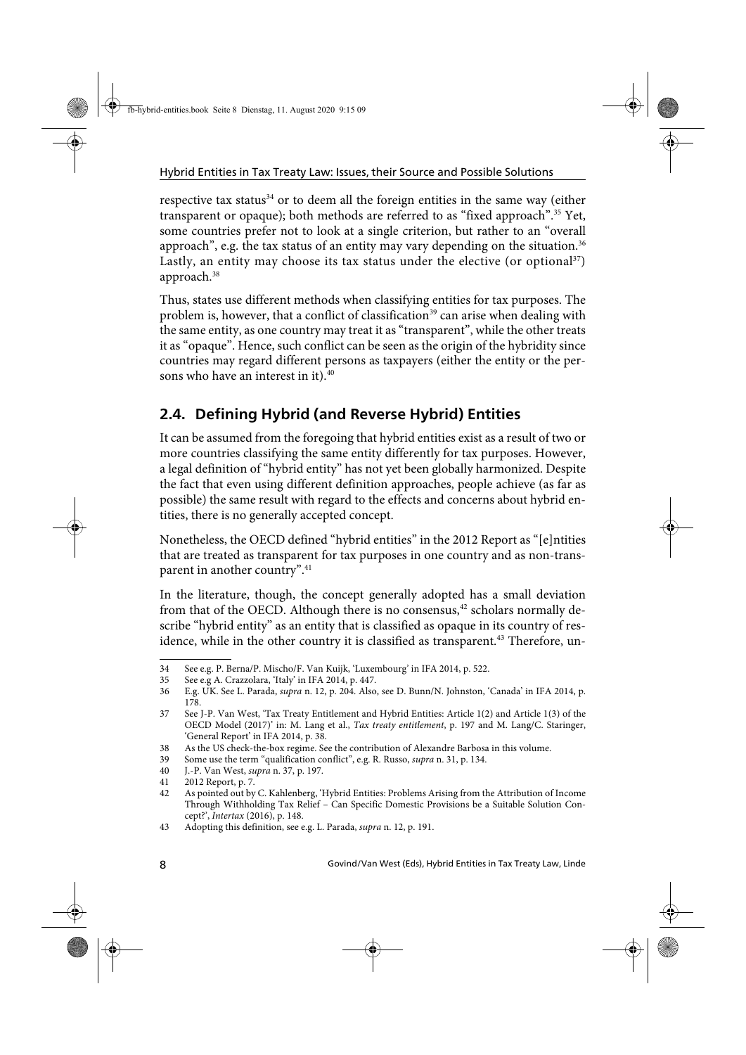respective tax status<sup>34</sup> or to deem all the foreign entities in the same way (either transparent or opaque); both methods are referred to as "fixed approach".35 Yet, some countries prefer not to look at a single criterion, but rather to an "overall approach", e.g. the tax status of an entity may vary depending on the situation.<sup>36</sup> Lastly, an entity may choose its tax status under the elective (or optional<sup>37</sup>) approach.<sup>38</sup>

Thus, states use different methods when classifying entities for tax purposes. The problem is, however, that a conflict of classification<sup>39</sup> can arise when dealing with the same entity, as one country may treat it as "transparent", while the other treats it as "opaque". Hence, such conflict can be seen as the origin of the hybridity since countries may regard different persons as taxpayers (either the entity or the persons who have an interest in it).<sup>40</sup>

## **2.4. Defining Hybrid (and Reverse Hybrid) Entities**

It can be assumed from the foregoing that hybrid entities exist as a result of two or more countries classifying the same entity differently for tax purposes. However, a legal definition of "hybrid entity" has not yet been globally harmonized. Despite the fact that even using different definition approaches, people achieve (as far as possible) the same result with regard to the effects and concerns about hybrid entities, there is no generally accepted concept.

Nonetheless, the OECD defined "hybrid entities" in the 2012 Report as "[e]ntities that are treated as transparent for tax purposes in one country and as non-transparent in another country".<sup>41</sup>

In the literature, though, the concept generally adopted has a small deviation from that of the OECD. Although there is no consensus, $42$  scholars normally describe "hybrid entity" as an entity that is classified as opaque in its country of residence, while in the other country it is classified as transparent.<sup>43</sup> Therefore, un-

<sup>34</sup> See e.g. P. Berna/P. Mischo/F. Van Kuijk, 'Luxembourg' in IFA 2014, p. 522.

<sup>35</sup> See e.g A. Crazzolara, 'Italy' in IFA 2014, p. 447.

<sup>36</sup> E.g. UK. See L. Parada, supra n. 12, p. 204. Also, see D. Bunn/N. Johnston, 'Canada' in IFA 2014, p. 178.

<sup>37</sup> See J-P. Van West, 'Tax Treaty Entitlement and Hybrid Entities: Article 1(2) and Article 1(3) of the OECD Model (2017)' in: M. Lang et al., Tax treaty entitlement, p. 197 and M. Lang/C. Staringer, 'General Report' in IFA 2014, p. 38.

<sup>38</sup> As the US check-the-box regime. See the contribution of Alexandre Barbosa in this volume.<br>39 Some use the term "qualification conflict", e.g. R. Russo, *supra* n. 31, p. 134.

Some use the term "qualification conflict", e.g. R. Russo, supra n. 31, p. 134.

<sup>40</sup> J.-P. Van West, supra n. 37, p. 197.

<sup>41 2012</sup> Report, p. 7.

<sup>42</sup> As pointed out by C. Kahlenberg, 'Hybrid Entities: Problems Arising from the Attribution of Income Through Withholding Tax Relief – Can Specific Domestic Provisions be a Suitable Solution Concept?', Intertax (2016), p. 148.

<sup>43</sup> Adopting this definition, see e.g. L. Parada, supra n. 12, p. 191.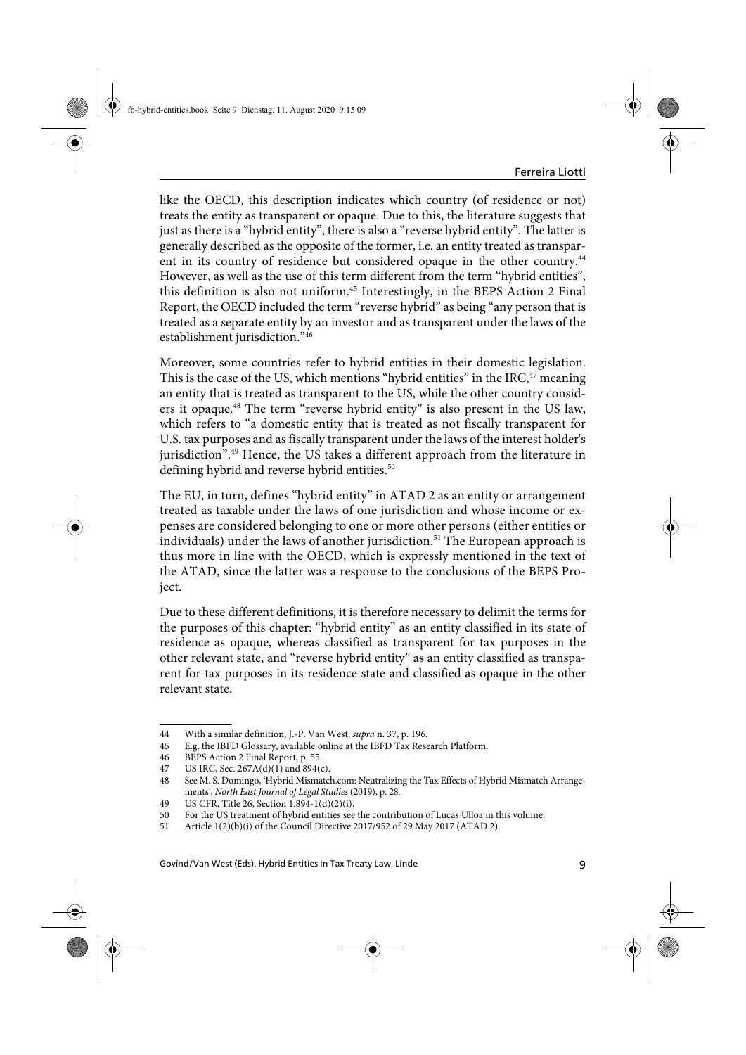like the OECD, this description indicates which country (of residence or not) treats the entity as transparent or opaque. Due to this, the literature suggests that just as there is a "hybrid entity", there is also a "reverse hybrid entity". The latter is generally described as the opposite of the former, i.e. an entity treated as transparent in its country of residence but considered opaque in the other country.<sup>44</sup> However, as well as the use of this term different from the term "hybrid entities", this definition is also not uniform.<sup>45</sup> Interestingly, in the BEPS Action 2 Final Report, the OECD included the term "reverse hybrid" as being "any person that is treated as a separate entity by an investor and as transparent under the laws of the establishment jurisdiction."46

Moreover, some countries refer to hybrid entities in their domestic legislation. This is the case of the US, which mentions "hybrid entities" in the IRC,<sup>47</sup> meaning an entity that is treated as transparent to the US, while the other country considers it opaque.48 The term "reverse hybrid entity" is also present in the US law, which refers to "a domestic entity that is treated as not fiscally transparent for U.S. tax purposes and as fiscally transparent under the laws of the interest holder's jurisdiction<sup>".49</sup> Hence, the US takes a different approach from the literature in defining hybrid and reverse hybrid entities.<sup>50</sup>

The EU, in turn, defines "hybrid entity" in ATAD 2 as an entity or arrangement treated as taxable under the laws of one jurisdiction and whose income or expenses are considered belonging to one or more other persons (either entities or  $individuals)$  under the laws of another jurisdiction.<sup>51</sup> The European approach is thus more in line with the OECD, which is expressly mentioned in the text of the ATAD, since the latter was a response to the conclusions of the BEPS Project.

Due to these different definitions, it is therefore necessary to delimit the terms for the purposes of this chapter: "hybrid entity" as an entity classified in its state of residence as opaque, whereas classified as transparent for tax purposes in the other relevant state, and "reverse hybrid entity" as an entity classified as transparent for tax purposes in its residence state and classified as opaque in the other relevant state.

<sup>44</sup> With a similar definition, J.-P. Van West, supra n. 37, p. 196.

<sup>45</sup> E.g. the IBFD Glossary, available online at the IBFD Tax Research Platform.

<sup>46</sup> BEPS Action 2 Final Report, p. 55.

<sup>47</sup> US IRC, Sec. 267A(d)(1) and 894(c).

<sup>48</sup> See M. S. Domingo, 'Hybrid Mismatch.com: Neutralizing the Tax Effects of Hybrid Mismatch Arrangements', North East Journal of Legal Studies (2019), p. 28.

<sup>49</sup> US CFR, Title 26, Section 1.894-1(d)(2)(i).

<sup>50</sup> For the US treatment of hybrid entities see the contribution of Lucas Ulloa in this volume.

<sup>51</sup> Article 1(2)(b)(i) of the Council Directive 2017/952 of 29 May 2017 (ATAD 2).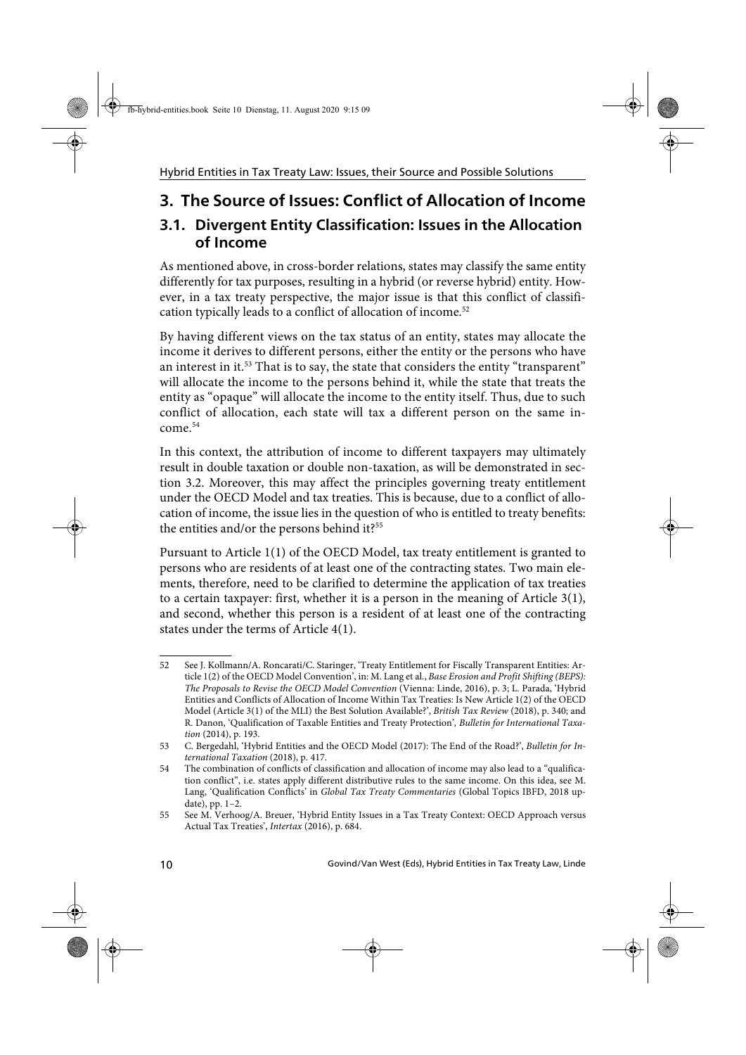# **3. The Source of Issues: Conflict of Allocation of Income**

## **3.1. Divergent Entity Classification: Issues in the Allocation of Income**

As mentioned above, in cross-border relations, states may classify the same entity differently for tax purposes, resulting in a hybrid (or reverse hybrid) entity. However, in a tax treaty perspective, the major issue is that this conflict of classification typically leads to a conflict of allocation of income.<sup>52</sup>

By having different views on the tax status of an entity, states may allocate the income it derives to different persons, either the entity or the persons who have an interest in it.<sup>53</sup> That is to say, the state that considers the entity "transparent" will allocate the income to the persons behind it, while the state that treats the entity as "opaque" will allocate the income to the entity itself. Thus, due to such conflict of allocation, each state will tax a different person on the same income.54

In this context, the attribution of income to different taxpayers may ultimately result in double taxation or double non-taxation, as will be demonstrated in section 3.2. Moreover, this may affect the principles governing treaty entitlement under the OECD Model and tax treaties. This is because, due to a conflict of allocation of income, the issue lies in the question of who is entitled to treaty benefits: the entities and/or the persons behind it?<sup>55</sup>

Pursuant to Article 1(1) of the OECD Model, tax treaty entitlement is granted to persons who are residents of at least one of the contracting states. Two main elements, therefore, need to be clarified to determine the application of tax treaties to a certain taxpayer: first, whether it is a person in the meaning of Article 3(1), and second, whether this person is a resident of at least one of the contracting states under the terms of Article 4(1).

<sup>52</sup> See J. Kollmann/A. Roncarati/C. Staringer, 'Treaty Entitlement for Fiscally Transparent Entities: Article 1(2) of the OECD Model Convention', in: M. Lang et al., Base Erosion and Profit Shifting (BEPS): The Proposals to Revise the OECD Model Convention (Vienna: Linde, 2016), p. 3; L. Parada, 'Hybrid Entities and Conflicts of Allocation of Income Within Tax Treaties: Is New Article 1(2) of the OECD Model (Article 3(1) of the MLI) the Best Solution Available?', British Tax Review (2018), p. 340; and R. Danon, 'Qualification of Taxable Entities and Treaty Protection', Bulletin for International Taxation (2014), p. 193.

<sup>53</sup> C. Bergedahl, 'Hybrid Entities and the OECD Model (2017): The End of the Road?', Bulletin for International Taxation (2018), p. 417.

<sup>54</sup> The combination of conflicts of classification and allocation of income may also lead to a "qualification conflict", i.e. states apply different distributive rules to the same income. On this idea, see M. Lang, 'Qualification Conflicts' in Global Tax Treaty Commentaries (Global Topics IBFD, 2018 update), pp. 1–2.

<sup>55</sup> See M. Verhoog/A. Breuer, 'Hybrid Entity Issues in a Tax Treaty Context: OECD Approach versus Actual Tax Treaties', Intertax (2016), p. 684.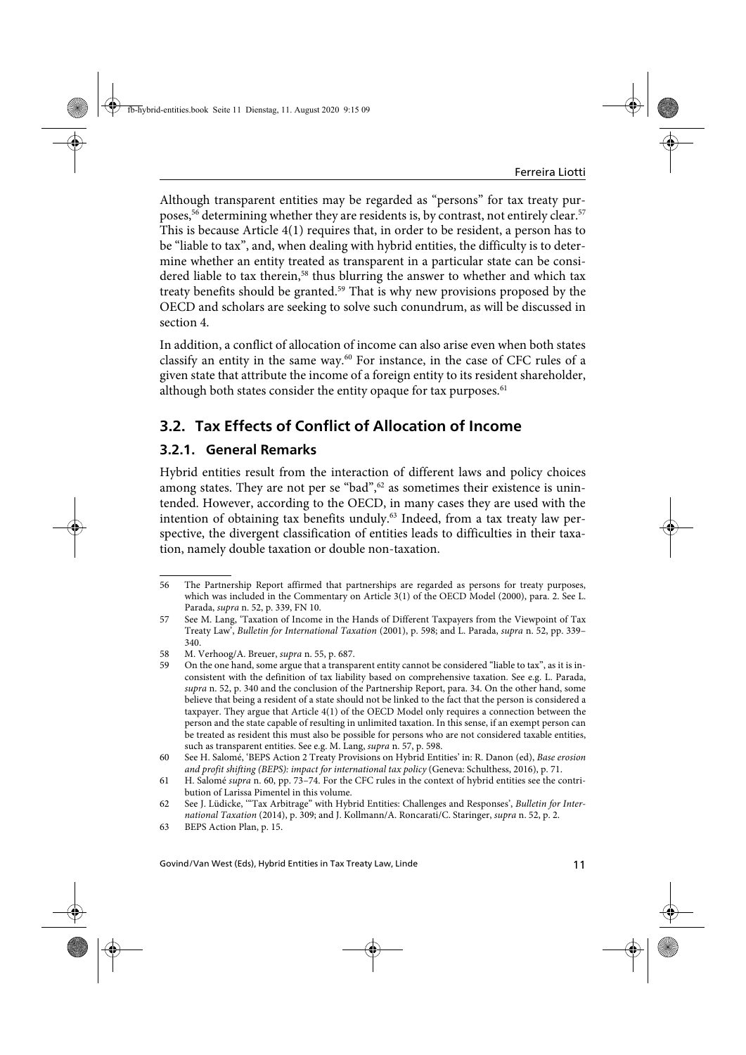Although transparent entities may be regarded as "persons" for tax treaty purposes,<sup>56</sup> determining whether they are residents is, by contrast, not entirely clear.<sup>57</sup> This is because Article 4(1) requires that, in order to be resident, a person has to be "liable to tax", and, when dealing with hybrid entities, the difficulty is to determine whether an entity treated as transparent in a particular state can be considered liable to tax therein, $58$  thus blurring the answer to whether and which tax treaty benefits should be granted.<sup>59</sup> That is why new provisions proposed by the OECD and scholars are seeking to solve such conundrum, as will be discussed in section 4.

In addition, a conflict of allocation of income can also arise even when both states classify an entity in the same way.<sup>60</sup> For instance, in the case of CFC rules of a given state that attribute the income of a foreign entity to its resident shareholder, although both states consider the entity opaque for tax purposes. $61$ 

## **3.2. Tax Effects of Conflict of Allocation of Income**

### **3.2.1. General Remarks**

Hybrid entities result from the interaction of different laws and policy choices among states. They are not per se "bad", $62$  as sometimes their existence is unintended. However, according to the OECD, in many cases they are used with the intention of obtaining tax benefits unduly.<sup>63</sup> Indeed, from a tax treaty law perspective, the divergent classification of entities leads to difficulties in their taxation, namely double taxation or double non-taxation.

<sup>56</sup> The Partnership Report affirmed that partnerships are regarded as persons for treaty purposes, which was included in the Commentary on Article 3(1) of the OECD Model (2000), para. 2. See L. Parada, supra n. 52, p. 339, FN 10.

<sup>57</sup> See M. Lang, 'Taxation of Income in the Hands of Different Taxpayers from the Viewpoint of Tax Treaty Law', Bulletin for International Taxation (2001), p. 598; and L. Parada, supra n. 52, pp. 339– 340.

<sup>58</sup> M. Verhoog/A. Breuer, supra n. 55, p. 687.

<sup>59</sup> On the one hand, some argue that a transparent entity cannot be considered "liable to tax", as it is inconsistent with the definition of tax liability based on comprehensive taxation. See e.g. L. Parada, supra n. 52, p. 340 and the conclusion of the Partnership Report, para. 34. On the other hand, some believe that being a resident of a state should not be linked to the fact that the person is considered a taxpayer. They argue that Article 4(1) of the OECD Model only requires a connection between the person and the state capable of resulting in unlimited taxation. In this sense, if an exempt person can be treated as resident this must also be possible for persons who are not considered taxable entities, such as transparent entities. See e.g. M. Lang, supra n. 57, p. 598.

<sup>60</sup> See H. Salomé, 'BEPS Action 2 Treaty Provisions on Hybrid Entities' in: R. Danon (ed), Base erosion and profit shifting (BEPS): impact for international tax policy (Geneva: Schulthess, 2016), p. 71.

<sup>61</sup> H. Salomé supra n. 60, pp. 73–74. For the CFC rules in the context of hybrid entities see the contribution of Larissa Pimentel in this volume.

<sup>62</sup> See J. Lüdicke, '"Tax Arbitrage" with Hybrid Entities: Challenges and Responses', Bulletin for International Taxation (2014), p. 309; and J. Kollmann/A. Roncarati/C. Staringer, supra n. 52, p. 2.

<sup>63</sup> BEPS Action Plan, p. 15.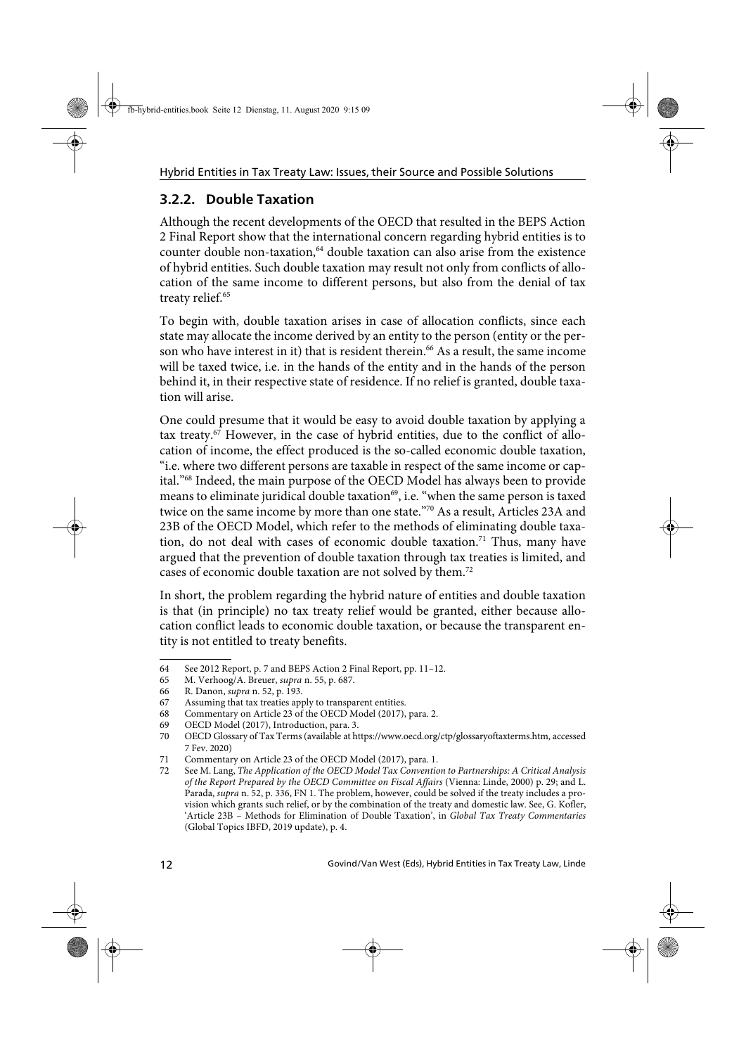### **3.2.2. Double Taxation**

Although the recent developments of the OECD that resulted in the BEPS Action 2 Final Report show that the international concern regarding hybrid entities is to counter double non-taxation,<sup>64</sup> double taxation can also arise from the existence of hybrid entities. Such double taxation may result not only from conflicts of allocation of the same income to different persons, but also from the denial of tax treaty relief.<sup>65</sup>

To begin with, double taxation arises in case of allocation conflicts, since each state may allocate the income derived by an entity to the person (entity or the person who have interest in it) that is resident therein.<sup>66</sup> As a result, the same income will be taxed twice, i.e. in the hands of the entity and in the hands of the person behind it, in their respective state of residence. If no relief is granted, double taxation will arise.

One could presume that it would be easy to avoid double taxation by applying a tax treaty.67 However, in the case of hybrid entities, due to the conflict of allocation of income, the effect produced is the so-called economic double taxation, "i.e. where two different persons are taxable in respect of the same income or capital."68 Indeed, the main purpose of the OECD Model has always been to provide means to eliminate juridical double taxation<sup>69</sup>, i.e. "when the same person is taxed twice on the same income by more than one state."70 As a result, Articles 23A and 23B of the OECD Model, which refer to the methods of eliminating double taxation, do not deal with cases of economic double taxation.<sup>71</sup> Thus, many have argued that the prevention of double taxation through tax treaties is limited, and cases of economic double taxation are not solved by them.72

In short, the problem regarding the hybrid nature of entities and double taxation is that (in principle) no tax treaty relief would be granted, either because allocation conflict leads to economic double taxation, or because the transparent entity is not entitled to treaty benefits.

<sup>64</sup> See 2012 Report, p. 7 and BEPS Action 2 Final Report, pp. 11–12.

<sup>65</sup> M. Verhoog/A. Breuer, supra n. 55, p. 687.

<sup>66</sup> R. Danon, supra n. 52, p. 193.

<sup>67</sup> Assuming that tax treaties apply to transparent entities.

<sup>68</sup> Commentary on Article 23 of the OECD Model (2017), para. 2.

<sup>69</sup> OECD Model (2017), Introduction, para. 3.

<sup>70</sup> OECD Glossary of Tax Terms (available at https://www.oecd.org/ctp/glossaryoftaxterms.htm, accessed 7 Fev. 2020)

<sup>71</sup> Commentary on Article 23 of the OECD Model (2017), para. 1.

<sup>72</sup> See M. Lang, The Application of the OECD Model Tax Convention to Partnerships: A Critical Analysis of the Report Prepared by the OECD Committee on Fiscal Affairs (Vienna: Linde, 2000) p. 29; and L. Parada, supra n. 52, p. 336, FN 1. The problem, however, could be solved if the treaty includes a provision which grants such relief, or by the combination of the treaty and domestic law. See, G. Kofler, 'Article 23B – Methods for Elimination of Double Taxation', in Global Tax Treaty Commentaries (Global Topics IBFD, 2019 update), p. 4.